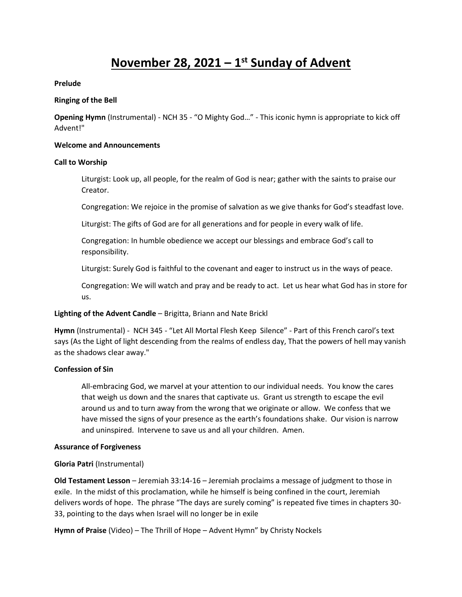# **November 28, 2021 – 1 st Sunday of Advent**

#### **Prelude**

#### **Ringing of the Bell**

**Opening Hymn** (Instrumental) - NCH 35 - "O Mighty God…" - This iconic hymn is appropriate to kick off Advent!"

#### **Welcome and Announcements**

#### **Call to Worship**

Liturgist: Look up, all people, for the realm of God is near; gather with the saints to praise our Creator.

Congregation: We rejoice in the promise of salvation as we give thanks for God's steadfast love.

Liturgist: The gifts of God are for all generations and for people in every walk of life.

Congregation: In humble obedience we accept our blessings and embrace God's call to responsibility.

Liturgist: Surely God is faithful to the covenant and eager to instruct us in the ways of peace.

Congregation: We will watch and pray and be ready to act. Let us hear what God has in store for us.

# **Lighting of the Advent Candle** – Brigitta, Briann and Nate Brickl

**Hymn** (Instrumental) - NCH 345 - "Let All Mortal Flesh Keep Silence" - Part of this French carol's text says (As the Light of light descending from the realms of endless day, That the powers of hell may vanish as the shadows clear away."

# **Confession of Sin**

All-embracing God, we marvel at your attention to our individual needs. You know the cares that weigh us down and the snares that captivate us. Grant us strength to escape the evil around us and to turn away from the wrong that we originate or allow. We confess that we have missed the signs of your presence as the earth's foundations shake. Our vision is narrow and uninspired. Intervene to save us and all your children. Amen.

#### **Assurance of Forgiveness**

# **Gloria Patri** (Instrumental)

**Old Testament Lesson** – Jeremiah 33:14-16 – Jeremiah proclaims a message of judgment to those in exile. In the midst of this proclamation, while he himself is being confined in the court, Jeremiah delivers words of hope. The phrase "The days are surely coming" is repeated five times in chapters 30- 33, pointing to the days when Israel will no longer be in exile

**Hymn of Praise** (Video) – The Thrill of Hope – Advent Hymn" by Christy Nockels